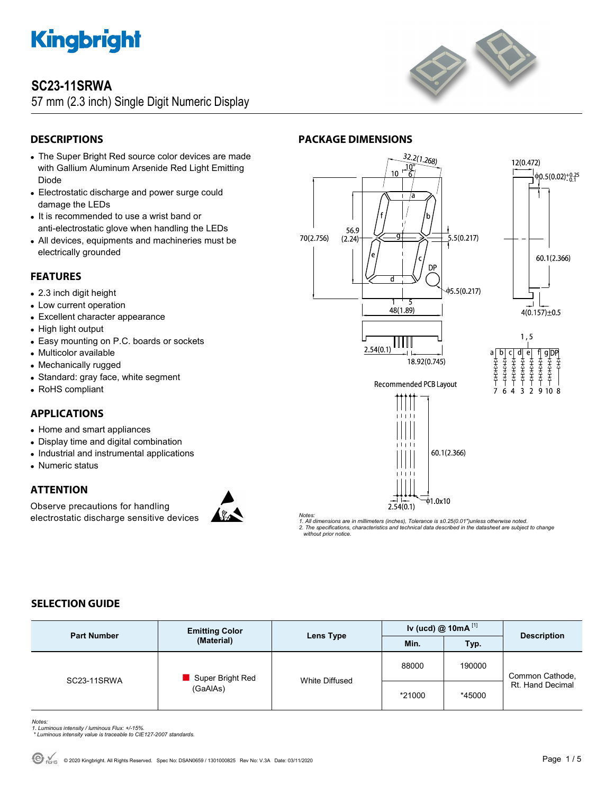

### **SC23-11SRWA**

57 mm (2.3 inch) Single Digit Numeric Display



### **DESCRIPTIONS**

- The Super Bright Red source color devices are made with Gallium Aluminum Arsenide Red Light Emitting Diode
- Electrostatic discharge and power surge could damage the LEDs
- It is recommended to use a wrist band or anti-electrostatic glove when handling the LEDs
- All devices, equipments and machineries must be electrically grounded

### **FEATURES**

- 2.3 inch digit height
- Low current operation
- Excellent character appearance
- High light output
- Easy mounting on P.C. boards or sockets
- Multicolor available
- Mechanically rugged
- Standard: gray face, white segment
- RoHS compliant

### **APPLICATIONS**

- Home and smart appliances
- Display time and digital combination
- Industrial and instrumental applications
- Numeric status

### **ATTENTION**

Observe precautions for handling electrostatic discharge sensitive devices



 $\frac{32.2(1.268)}{100}$ 12(0.472)  $\overrightarrow{10}$  $10$  $\phi$ <sub>0</sub>.5(0.02)<sup>+0.25</sup> 56.9 70(2.756)  $.5(0.217)$  $(2.24)$ 5 60.1(2.366) DP  $\phi$ 5.5(0.217) 48(1.89)  $4(0.157) \pm 0.5$  $1, 5$ Ш  $2.54(0.1)$  $a$ <sub> $\overline{A}$ </sub> $\overline{A}$ <br> $\overline{A}$ <br> $\overline{A}$ <br> $\overline{A}$ <br> $\overline{A}$  $\epsilon$  $\frac{9}{4}$  $\frac{1}{4}$  $\frac{1}{4}$  $\frac{1}{4}$  $\frac{1}{4}$ 18.92(0.745) 荃去夺 荃吞 Recommended PCB Layout  $\overline{\mathbf{A}}$  $\overline{\mathbf{3}}$ **Q** 6  $\overline{z}$  $10<sup>1</sup>$ 60.1(2.366)  $\overline{\phi}$ 1.0x10  $2.54(0.1)$ 

*Notes:* 

**PACKAGE DIMENSIONS** 

*1. All dimensions are in millimeters (inches), Tolerance is ±0.25(0.01")unless otherwise noted. 2. The specifications, characteristics and technical data described in the datasheet are subject to change without prior notice.* 

### **SELECTION GUIDE**

| <b>Part Number</b> | <b>Emitting Color</b><br>(Material) | Lens Type      | Iv (ucd) $@ 10mA$ <sup>[1]</sup> |        |                                     |
|--------------------|-------------------------------------|----------------|----------------------------------|--------|-------------------------------------|
|                    |                                     |                | Min.                             | Typ.   | <b>Description</b>                  |
| SC23-11SRWA        | Super Bright Red<br>(GaAlAs)        | White Diffused | 88000                            | 190000 | Common Cathode,<br>Rt. Hand Decimal |
|                    |                                     |                | *21000                           | *45000 |                                     |

- *Notes: 1. Luminous intensity / luminous Flux: +/-15%.*
- *\* Luminous intensity value is traceable to CIE127-2007 standards.*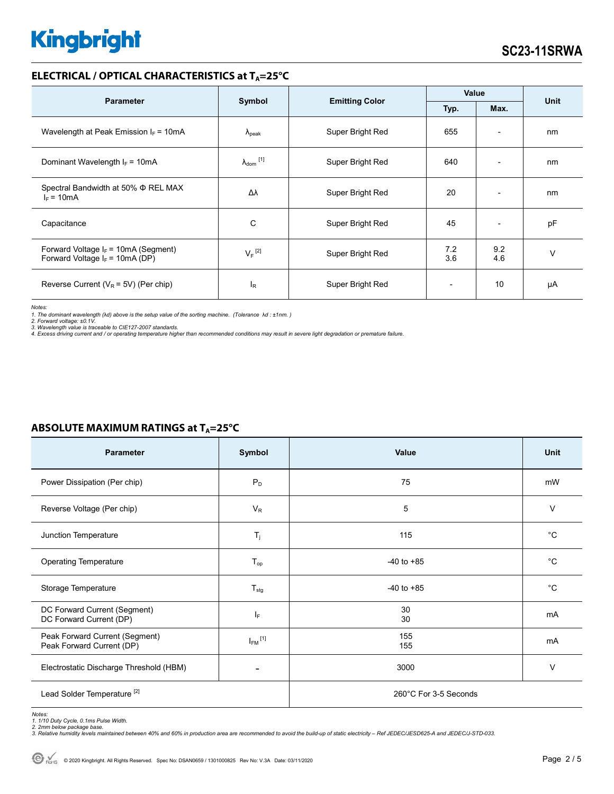#### **ELECTRICAL / OPTICAL CHARACTERISTICS at T<sub>A</sub>=25°C**

| <b>Parameter</b>                                                            | Symbol                       | <b>Emitting Color</b> | Value      |                          | <b>Unit</b> |
|-----------------------------------------------------------------------------|------------------------------|-----------------------|------------|--------------------------|-------------|
|                                                                             |                              |                       | Typ.       | Max.                     |             |
| Wavelength at Peak Emission $I_F = 10mA$                                    | $\Lambda_{\rm peak}$         | Super Bright Red      | 655        | $\overline{\phantom{a}}$ | nm          |
| Dominant Wavelength $I_F = 10mA$                                            | $\lambda_{\mathsf{dom}}$ [1] | Super Bright Red      | 640        | $\overline{\phantom{a}}$ | nm          |
| Spectral Bandwidth at 50% Φ REL MAX<br>$I_F = 10mA$                         | Δλ                           | Super Bright Red      | 20         | ٠                        | nm          |
| Capacitance                                                                 | C                            | Super Bright Red      | 45         | $\overline{\phantom{a}}$ | pF          |
| Forward Voltage $I_F$ = 10mA (Segment)<br>Forward Voltage $I_F$ = 10mA (DP) | $V_F$ <sup>[2]</sup>         | Super Bright Red      | 7.2<br>3.6 | 9.2<br>4.6               | $\vee$      |
| Reverse Current ( $V_R$ = 5V) (Per chip)                                    | I <sub>R</sub>               | Super Bright Red      |            | 10                       | μA          |

*Notes:* 

1. The dominant wavelength (λd) above is the setup value of the sorting machine. (Tolerance λd : ±1nm. )<br>2. Forward voltage: ±0.1V.<br>3. Wavelength value is traceable to CIE127-2007 standards.<br>4. Excess driving current and

| <b>Parameter</b>                                            | Symbol                  | Value                 | <b>Unit</b> |
|-------------------------------------------------------------|-------------------------|-----------------------|-------------|
| Power Dissipation (Per chip)                                | $P_D$                   | 75                    | mW          |
| Reverse Voltage (Per chip)                                  | $V_R$                   | 5                     | $\vee$      |
| Junction Temperature                                        | $T_j$                   | 115                   | °C          |
| <b>Operating Temperature</b>                                | $T_{op}$                | $-40$ to $+85$        | $^{\circ}C$ |
| Storage Temperature                                         | $T_{\text{stg}}$        | $-40$ to $+85$        | $^{\circ}C$ |
| DC Forward Current (Segment)<br>DC Forward Current (DP)     | ΙF                      | 30<br>30              | mA          |
| Peak Forward Current (Segment)<br>Peak Forward Current (DP) | $I_{FM}$ <sup>[1]</sup> | 155<br>155            | mA          |
| Electrostatic Discharge Threshold (HBM)                     |                         | 3000                  | $\vee$      |
| Lead Solder Temperature <sup>[2]</sup>                      |                         | 260°C For 3-5 Seconds |             |

### **ABSOLUTE MAXIMUM RATINGS at T<sub>A</sub>=25°C**

Notes:<br>1. 1/10 Duty Cycle, 0.1ms Pulse Width.<br>2. 2mm below package base.<br>3. Relative humidity levels maintained between 40% and 60% in production area are recommended to avoid the build-up of static electricity – Ref JEDEC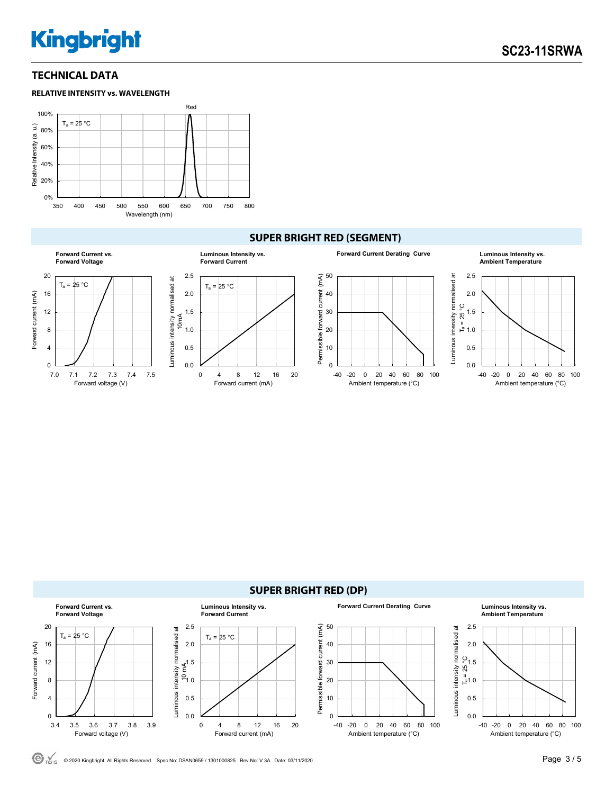### **TECHNICAL DATA**



### **SUPER BRIGHT RED (SEGMENT)**





© <sub>ROHS</sub> © 2020 Kingbright. All Rights Reserved. Spec No: DSAN0659 / 1301000825 Rev No: V.3A Date: 03/11/2020 **Page 3 / 5 Page 3 / 5**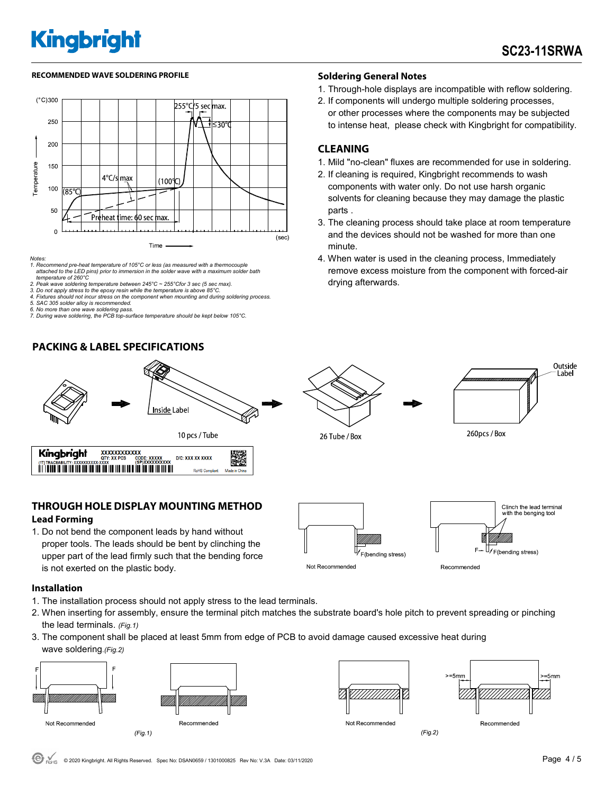#### RECOMMENDED WAVE SOLDERING PROFILE **A CONTACT A CONTACT SOLDERING PROFILE** SOLDERING PROFILE



- *Notes: 1. Recommend pre-heat temperature of 105°C or less (as measured with a thermocouple attached to the LED pins) prior to immersion in the solder wave with a maximum solder bath temperature of 260°C*
- *2. Peak wave soldering temperature between 245°C ~ 255°Cfor 3 sec (5 sec max).*
- *3. Do not apply stress to the epoxy resin while the temperature is above 85°C.*
- *4. Fixtures should not incur stress on the component when mounting and during soldering process.*
- *5. SAC 305 solder alloy is recommended. 6. No more than one wave soldering pass.*
- *7. During wave soldering, the PCB top-surface temperature should be kept below 105°C.*

### **PACKING & LABEL SPECIFICATIONS**



### **THROUGH HOLE DISPLAY MOUNTING METHOD Lead Forming**

1. Do not bend the component leads by hand without proper tools. The leads should be bent by clinching the upper part of the lead firmly such that the bending force is not exerted on the plastic body.

### Clinch the lead terminal ith the benging tool  $F_{\rightarrow}$ F(bending stress) F(bending stress) Not Recommended Recommended

**Installation** 

- 1. The installation process should not apply stress to the lead terminals.
- 2. When inserting for assembly, ensure the terminal pitch matches the substrate board's hole pitch to prevent spreading or pinching the lead terminals. *(Fig.1)*
- 3. The component shall be placed at least 5mm from edge of PCB to avoid damage caused excessive heat during wave soldering.*(Fig.2)*









 $(Fig.2)$ 

Recommended

260pcs / Box

- 1. Through-hole displays are incompatible with reflow soldering.
- 2. If components will undergo multiple soldering processes, or other processes where the components may be subjected to intense heat, please check with Kingbright for compatibility.

### **CLEANING**

26 Tube / Box

- 1. Mild "no-clean" fluxes are recommended for use in soldering.
- 2. If cleaning is required, Kingbright recommends to wash components with water only. Do not use harsh organic solvents for cleaning because they may damage the plastic parts .
- 3. The cleaning process should take place at room temperature and the devices should not be washed for more than one minute.
- 4. When water is used in the cleaning process, Immediately remove excess moisture from the component with forced-air drying afterwards.

Outside Label